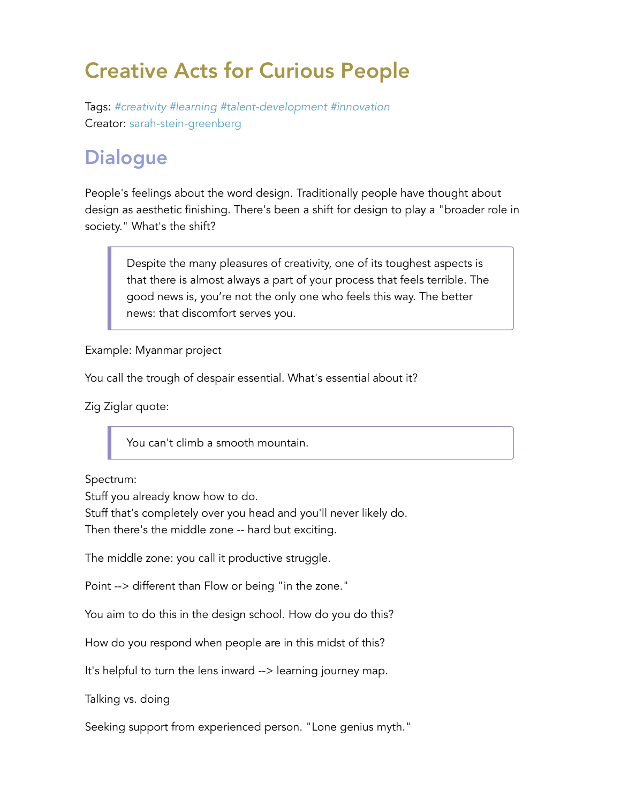# Creative Acts for Curious People

Tags: *#creativity #learning #talent-development #innovation* Creator: sarah-stein-greenberg

### **Dialogue**

People's feelings about the word design. Traditionally people have thought about design as aesthetic finishing. There's been a shift for design to play a "broader role in society." What's the shift?

Despite the many pleasures of creativity, one of its toughest aspects is that there is almost always a part of your process that feels terrible. The good news is, you're not the only one who feels this way. The better news: that discomfort serves you.

Example: Myanmar project

You call the trough of despair essential. What's essential about it?

Zig Ziglar quote:

You can't climb a smooth mountain.

Spectrum:

Stuff you already know how to do.

Stuff that's completely over you head and you'll never likely do.

Then there's the middle zone -- hard but exciting.

The middle zone: you call it productive struggle.

Point --> different than Flow or being "in the zone."

You aim to do this in the design school. How do you do this?

How do you respond when people are in this midst of this?

It's helpful to turn the lens inward --> learning journey map.

Talking vs. doing

Seeking support from experienced person. "Lone genius myth."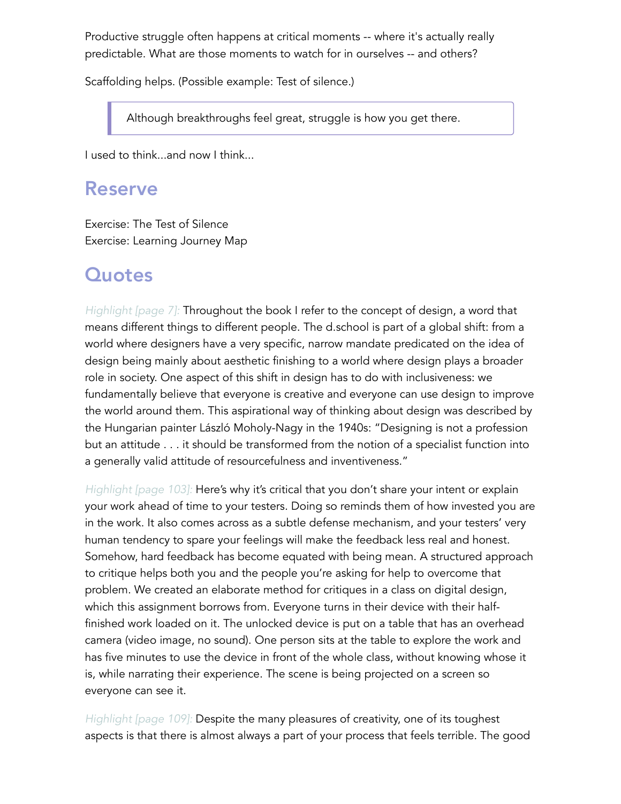Productive struggle often happens at critical moments -- where it's actually really predictable. What are those moments to watch for in ourselves -- and others?

Scaffolding helps. (Possible example: Test of silence.)

Although breakthroughs feel great, struggle is how you get there.

I used to think...and now I think...

#### Reserve

Exercise: The Test of Silence Exercise: Learning Journey Map

#### **Quotes**

*Highlight [page 7]:* Throughout the book I refer to the concept of design, a word that means different things to different people. The d.school is part of a global shift: from a world where designers have a very specific, narrow mandate predicated on the idea of design being mainly about aesthetic finishing to a world where design plays a broader role in society. One aspect of this shift in design has to do with inclusiveness: we fundamentally believe that everyone is creative and everyone can use design to improve the world around them. This aspirational way of thinking about design was described by the Hungarian painter László Moholy-Nagy in the 1940s: "Designing is not a profession but an attitude . . . it should be transformed from the notion of a specialist function into a generally valid attitude of resourcefulness and inventiveness."

*Highlight [page 103]:* Here's why it's critical that you don't share your intent or explain your work ahead of time to your testers. Doing so reminds them of how invested you are in the work. It also comes across as a subtle defense mechanism, and your testers' very human tendency to spare your feelings will make the feedback less real and honest. Somehow, hard feedback has become equated with being mean. A structured approach to critique helps both you and the people you're asking for help to overcome that problem. We created an elaborate method for critiques in a class on digital design, which this assignment borrows from. Everyone turns in their device with their halffinished work loaded on it. The unlocked device is put on a table that has an overhead camera (video image, no sound). One person sits at the table to explore the work and has five minutes to use the device in front of the whole class, without knowing whose it is, while narrating their experience. The scene is being projected on a screen so everyone can see it.

*Highlight [page 109]:* Despite the many pleasures of creativity, one of its toughest aspects is that there is almost always a part of your process that feels terrible. The good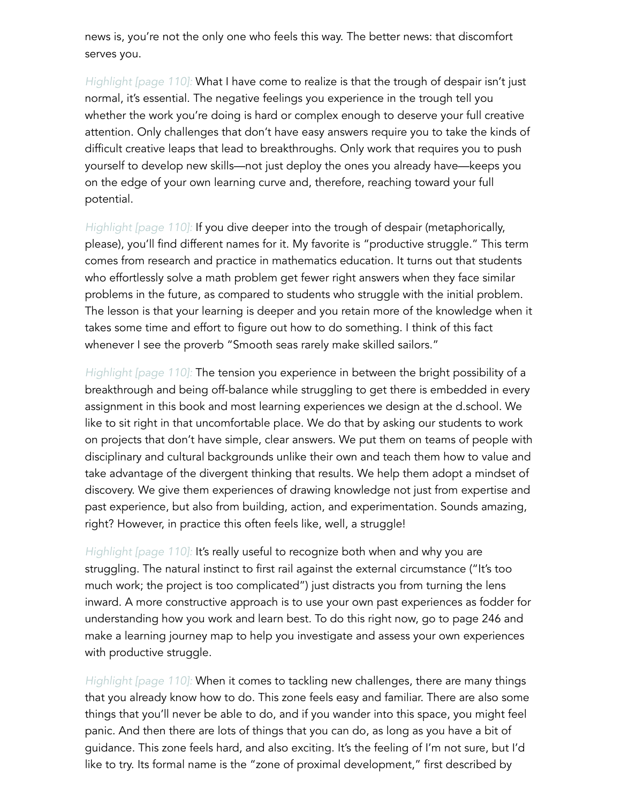news is, you're not the only one who feels this way. The better news: that discomfort serves you.

*Highlight [page 110]:* What I have come to realize is that the trough of despair isn't just normal, it's essential. The negative feelings you experience in the trough tell you whether the work you're doing is hard or complex enough to deserve your full creative attention. Only challenges that don't have easy answers require you to take the kinds of difficult creative leaps that lead to breakthroughs. Only work that requires you to push yourself to develop new skills—not just deploy the ones you already have—keeps you on the edge of your own learning curve and, therefore, reaching toward your full potential.

*Highlight [page 110]:* If you dive deeper into the trough of despair (metaphorically, please), you'll find different names for it. My favorite is "productive struggle." This term comes from research and practice in mathematics education. It turns out that students who effortlessly solve a math problem get fewer right answers when they face similar problems in the future, as compared to students who struggle with the initial problem. The lesson is that your learning is deeper and you retain more of the knowledge when it takes some time and effort to figure out how to do something. I think of this fact whenever I see the proverb "Smooth seas rarely make skilled sailors."

*Highlight [page 110]:* The tension you experience in between the bright possibility of a breakthrough and being off-balance while struggling to get there is embedded in every assignment in this book and most learning experiences we design at the d.school. We like to sit right in that uncomfortable place. We do that by asking our students to work on projects that don't have simple, clear answers. We put them on teams of people with disciplinary and cultural backgrounds unlike their own and teach them how to value and take advantage of the divergent thinking that results. We help them adopt a mindset of discovery. We give them experiences of drawing knowledge not just from expertise and past experience, but also from building, action, and experimentation. Sounds amazing, right? However, in practice this often feels like, well, a struggle!

*Highlight [page 110]:* It's really useful to recognize both when and why you are struggling. The natural instinct to first rail against the external circumstance ("It's too much work; the project is too complicated") just distracts you from turning the lens inward. A more constructive approach is to use your own past experiences as fodder for understanding how you work and learn best. To do this right now, go to page 246 and make a learning journey map to help you investigate and assess your own experiences with productive struggle.

*Highlight [page 110]:* When it comes to tackling new challenges, there are many things that you already know how to do. This zone feels easy and familiar. There are also some things that you'll never be able to do, and if you wander into this space, you might feel panic. And then there are lots of things that you can do, as long as you have a bit of guidance. This zone feels hard, and also exciting. It's the feeling of I'm not sure, but I'd like to try. Its formal name is the "zone of proximal development," first described by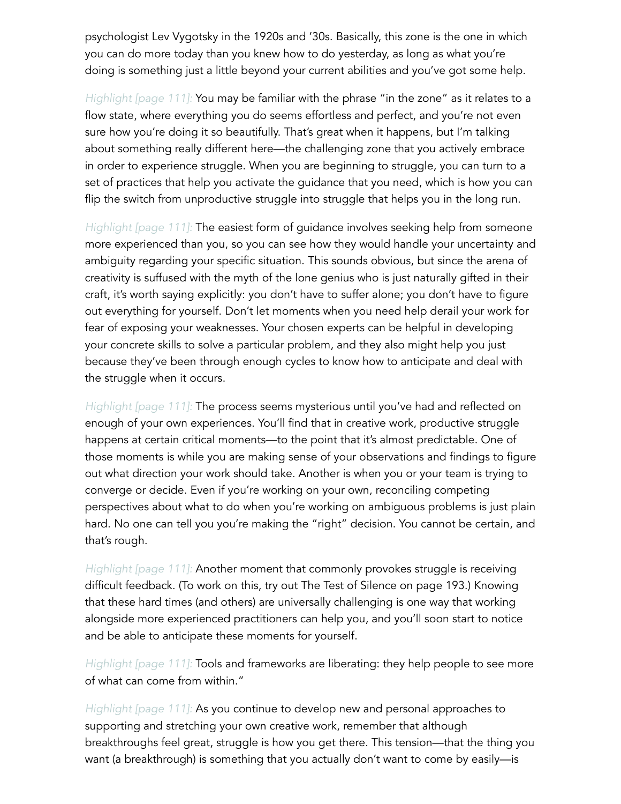psychologist Lev Vygotsky in the 1920s and '30s. Basically, this zone is the one in which you can do more today than you knew how to do yesterday, as long as what you're doing is something just a little beyond your current abilities and you've got some help.

*Highlight [page 111]:* You may be familiar with the phrase "in the zone" as it relates to a flow state, where everything you do seems effortless and perfect, and you're not even sure how you're doing it so beautifully. That's great when it happens, but I'm talking about something really different here—the challenging zone that you actively embrace in order to experience struggle. When you are beginning to struggle, you can turn to a set of practices that help you activate the guidance that you need, which is how you can flip the switch from unproductive struggle into struggle that helps you in the long run.

*Highlight [page 111]:* The easiest form of guidance involves seeking help from someone more experienced than you, so you can see how they would handle your uncertainty and ambiguity regarding your specific situation. This sounds obvious, but since the arena of creativity is suffused with the myth of the lone genius who is just naturally gifted in their craft, it's worth saying explicitly: you don't have to suffer alone; you don't have to figure out everything for yourself. Don't let moments when you need help derail your work for fear of exposing your weaknesses. Your chosen experts can be helpful in developing your concrete skills to solve a particular problem, and they also might help you just because they've been through enough cycles to know how to anticipate and deal with the struggle when it occurs.

*Highlight [page 111]:* The process seems mysterious until you've had and reflected on enough of your own experiences. You'll find that in creative work, productive struggle happens at certain critical moments—to the point that it's almost predictable. One of those moments is while you are making sense of your observations and findings to figure out what direction your work should take. Another is when you or your team is trying to converge or decide. Even if you're working on your own, reconciling competing perspectives about what to do when you're working on ambiguous problems is just plain hard. No one can tell you you're making the "right" decision. You cannot be certain, and that's rough.

*Highlight [page 111]:* Another moment that commonly provokes struggle is receiving difficult feedback. (To work on this, try out The Test of Silence on page 193.) Knowing that these hard times (and others) are universally challenging is one way that working alongside more experienced practitioners can help you, and you'll soon start to notice and be able to anticipate these moments for yourself.

*Highlight [page 111]:* Tools and frameworks are liberating: they help people to see more of what can come from within."

*Highlight [page 111]:* As you continue to develop new and personal approaches to supporting and stretching your own creative work, remember that although breakthroughs feel great, struggle is how you get there. This tension—that the thing you want (a breakthrough) is something that you actually don't want to come by easily—is